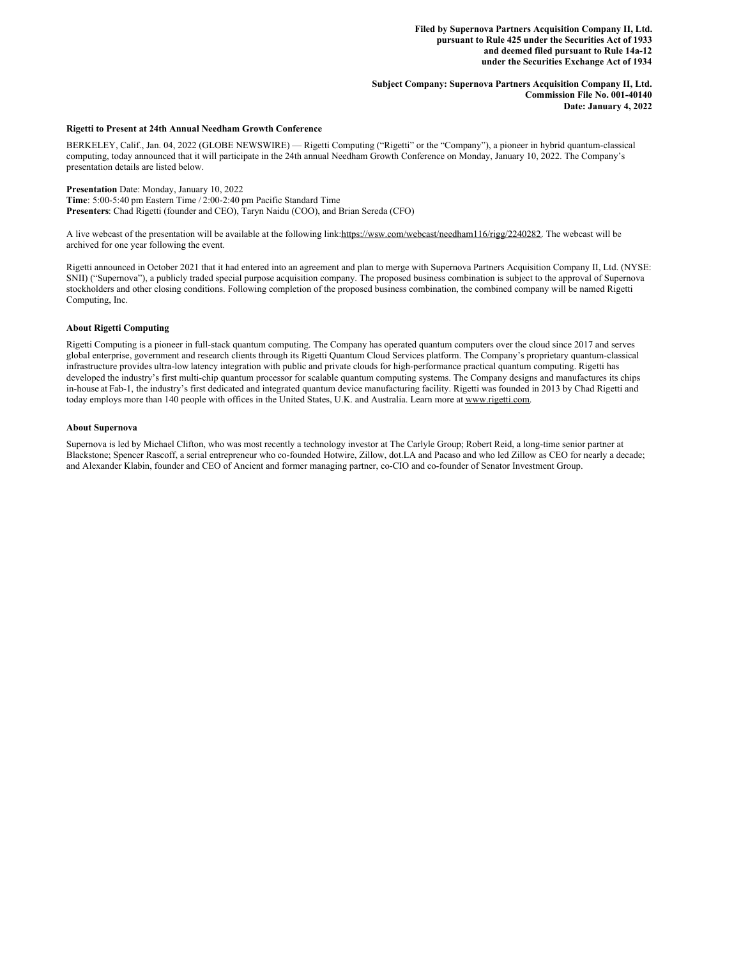**Filed by Supernova Partners Acquisition Company II, Ltd. pursuant to Rule 425 under the Securities Act of 1933 and deemed filed pursuant to Rule 14a-12 under the Securities Exchange Act of 1934**

**Subject Company: Supernova Partners Acquisition Company II, Ltd. Commission File No. 001-40140 Date: January 4, 2022**

## **Rigetti to Present at 24th Annual Needham Growth Conference**

BERKELEY, Calif., Jan. 04, 2022 (GLOBE NEWSWIRE) — Rigetti Computing ("Rigetti" or the "Company"), a pioneer in hybrid quantum-classical computing, today announced that it will participate in the 24th annual Needham Growth Conference on Monday, January 10, 2022. The Company's presentation details are listed below.

**Presentation** Date: Monday, January 10, 2022

**Time**: 5:00-5:40 pm Eastern Time / 2:00-2:40 pm Pacific Standard Time **Presenters**: Chad Rigetti (founder and CEO), Taryn Naidu (COO), and Brian Sereda (CFO)

A live webcast of the presentation will be available at the following link:https://wsw.com/webcast/needham116/rigg/2240282. The webcast will be archived for one year following the event.

Rigetti announced in October 2021 that it had entered into an agreement and plan to merge with Supernova Partners Acquisition Company II, Ltd. (NYSE: SNII) ("Supernova"), a publicly traded special purpose acquisition company. The proposed business combination is subject to the approval of Supernova stockholders and other closing conditions. Following completion of the proposed business combination, the combined company will be named Rigetti Computing, Inc.

## **About Rigetti Computing**

Rigetti Computing is a pioneer in full-stack quantum computing. The Company has operated quantum computers over the cloud since 2017 and serves global enterprise, government and research clients through its Rigetti Quantum Cloud Services platform. The Company's proprietary quantum-classical infrastructure provides ultra-low latency integration with public and private clouds for high-performance practical quantum computing. Rigetti has developed the industry's first multi-chip quantum processor for scalable quantum computing systems. The Company designs and manufactures its chips in-house at Fab-1, the industry's first dedicated and integrated quantum device manufacturing facility. Rigetti was founded in 2013 by Chad Rigetti and today employs more than 140 people with offices in the United States, U.K. and Australia. Learn more at www.rigetti.com.

#### **About Supernova**

Supernova is led by Michael Clifton, who was most recently a technology investor at The Carlyle Group; Robert Reid, a long-time senior partner at Blackstone; Spencer Rascoff, a serial entrepreneur who co-founded Hotwire, Zillow, dot.LA and Pacaso and who led Zillow as CEO for nearly a decade; and Alexander Klabin, founder and CEO of Ancient and former managing partner, co-CIO and co-founder of Senator Investment Group.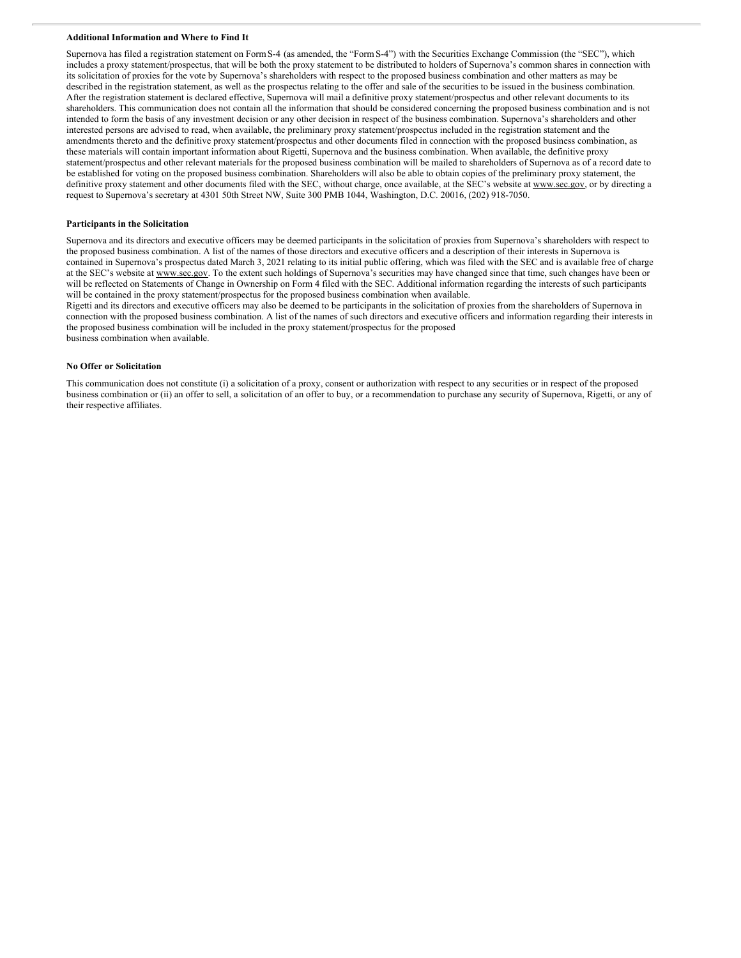#### **Additional Information and Where to Find It**

Supernova has filed a registration statement on FormS-4 (as amended, the "FormS-4") with the Securities Exchange Commission (the "SEC"), which includes a proxy statement/prospectus, that will be both the proxy statement to be distributed to holders of Supernova's common shares in connection with its solicitation of proxies for the vote by Supernova's shareholders with respect to the proposed business combination and other matters as may be described in the registration statement, as well as the prospectus relating to the offer and sale of the securities to be issued in the business combination. After the registration statement is declared effective, Supernova will mail a definitive proxy statement/prospectus and other relevant documents to its shareholders. This communication does not contain all the information that should be considered concerning the proposed business combination and is not intended to form the basis of any investment decision or any other decision in respect of the business combination. Supernova's shareholders and other interested persons are advised to read, when available, the preliminary proxy statement/prospectus included in the registration statement and the amendments thereto and the definitive proxy statement/prospectus and other documents filed in connection with the proposed business combination, as these materials will contain important information about Rigetti, Supernova and the business combination. When available, the definitive proxy statement/prospectus and other relevant materials for the proposed business combination will be mailed to shareholders of Supernova as of a record date to be established for voting on the proposed business combination. Shareholders will also be able to obtain copies of the preliminary proxy statement, the definitive proxy statement and other documents filed with the SEC, without charge, once available, at the SEC's website at www.sec.gov, or by directing a request to Supernova's secretary at 4301 50th Street NW, Suite 300 PMB 1044, Washington, D.C. 20016, (202) 918-7050.

#### **Participants in the Solicitation**

Supernova and its directors and executive officers may be deemed participants in the solicitation of proxies from Supernova's shareholders with respect to the proposed business combination. A list of the names of those directors and executive officers and a description of their interests in Supernova is contained in Supernova's prospectus dated March 3, 2021 relating to its initial public offering, which was filed with the SEC and is available free of charge at the SEC's website at www.sec.gov. To the extent such holdings of Supernova's securities may have changed since that time, such changes have been or will be reflected on Statements of Change in Ownership on Form 4 filed with the SEC. Additional information regarding the interests of such participants will be contained in the proxy statement/prospectus for the proposed business combination when available.

Rigetti and its directors and executive officers may also be deemed to be participants in the solicitation of proxies from the shareholders of Supernova in connection with the proposed business combination. A list of the names of such directors and executive officers and information regarding their interests in the proposed business combination will be included in the proxy statement/prospectus for the proposed business combination when available.

## **No Offer or Solicitation**

This communication does not constitute (i) a solicitation of a proxy, consent or authorization with respect to any securities or in respect of the proposed business combination or (ii) an offer to sell, a solicitation of an offer to buy, or a recommendation to purchase any security of Supernova, Rigetti, or any of their respective affiliates.